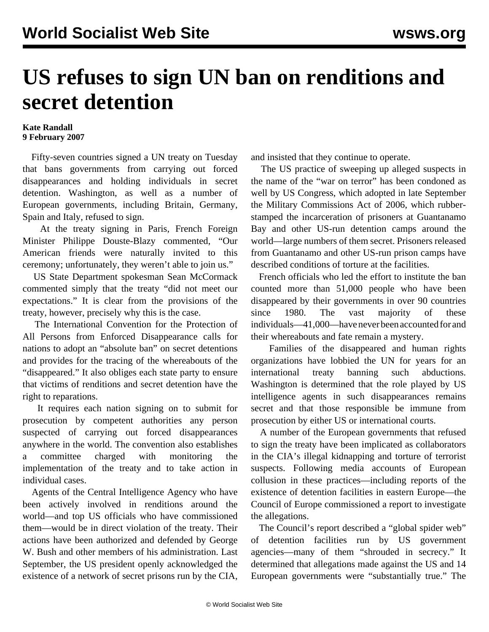## **US refuses to sign UN ban on renditions and secret detention**

## **Kate Randall 9 February 2007**

 Fifty-seven countries signed a UN treaty on Tuesday that bans governments from carrying out forced disappearances and holding individuals in secret detention. Washington, as well as a number of European governments, including Britain, Germany, Spain and Italy, refused to sign.

 At the treaty signing in Paris, French Foreign Minister Philippe Douste-Blazy commented, "Our American friends were naturally invited to this ceremony; unfortunately, they weren't able to join us."

 US State Department spokesman Sean McCormack commented simply that the treaty "did not meet our expectations." It is clear from the provisions of the treaty, however, precisely why this is the case.

 The International Convention for the Protection of All Persons from Enforced Disappearance calls for nations to adopt an "absolute ban" on secret detentions and provides for the tracing of the whereabouts of the "disappeared." It also obliges each state party to ensure that victims of renditions and secret detention have the right to reparations.

 It requires each nation signing on to submit for prosecution by competent authorities any person suspected of carrying out forced disappearances anywhere in the world. The convention also establishes a committee charged with monitoring the implementation of the treaty and to take action in individual cases.

 Agents of the Central Intelligence Agency who have been actively involved in renditions around the world—and top US officials who have commissioned them—would be in direct violation of the treaty. Their actions have been authorized and defended by George W. Bush and other members of his administration. Last September, the US president openly acknowledged the existence of a network of secret prisons run by the CIA,

and insisted that they continue to operate.

 The US practice of sweeping up alleged suspects in the name of the "war on terror" has been condoned as well by US Congress, which adopted in late September the Military Commissions Act of 2006, which rubberstamped the incarceration of prisoners at Guantanamo Bay and other US-run detention camps around the world—large numbers of them secret. Prisoners released from Guantanamo and other US-run prison camps have described conditions of torture at the facilities.

 French officials who led the effort to institute the ban counted more than 51,000 people who have been disappeared by their governments in over 90 countries since 1980. The vast majority of these individuals—41,000—have never been accounted for and their whereabouts and fate remain a mystery.

 Families of the disappeared and human rights organizations have lobbied the UN for years for an international treaty banning such abductions. Washington is determined that the role played by US intelligence agents in such disappearances remains secret and that those responsible be immune from prosecution by either US or international courts.

 A number of the European governments that refused to sign the treaty have been implicated as collaborators in the CIA's illegal kidnapping and torture of terrorist suspects. Following media accounts of European collusion in these practices—including reports of the existence of detention facilities in eastern Europe—the Council of Europe commissioned a report to investigate the allegations.

 The Council's report described a "global spider web" of detention facilities run by US government agencies—many of them "shrouded in secrecy." It determined that allegations made against the US and 14 European governments were "substantially true." The